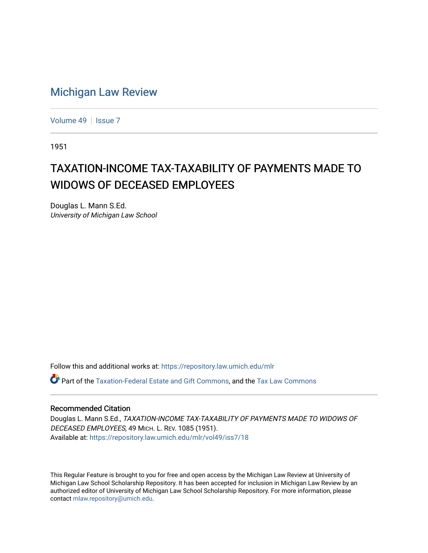## [Michigan Law Review](https://repository.law.umich.edu/mlr)

[Volume 49](https://repository.law.umich.edu/mlr/vol49) | [Issue 7](https://repository.law.umich.edu/mlr/vol49/iss7)

1951

## TAXATION-INCOME TAX-TAXABILITY OF PAYMENTS MADE TO WIDOWS OF DECEASED EMPLOYEES

Douglas L. Mann S.Ed. University of Michigan Law School

Follow this and additional works at: [https://repository.law.umich.edu/mlr](https://repository.law.umich.edu/mlr?utm_source=repository.law.umich.edu%2Fmlr%2Fvol49%2Fiss7%2F18&utm_medium=PDF&utm_campaign=PDFCoverPages) 

Part of the [Taxation-Federal Estate and Gift Commons,](https://network.bepress.com/hgg/discipline/880?utm_source=repository.law.umich.edu%2Fmlr%2Fvol49%2Fiss7%2F18&utm_medium=PDF&utm_campaign=PDFCoverPages) and the [Tax Law Commons](https://network.bepress.com/hgg/discipline/898?utm_source=repository.law.umich.edu%2Fmlr%2Fvol49%2Fiss7%2F18&utm_medium=PDF&utm_campaign=PDFCoverPages) 

## Recommended Citation

Douglas L. Mann S.Ed., TAXATION-INCOME TAX-TAXABILITY OF PAYMENTS MADE TO WIDOWS OF DECEASED EMPLOYEES, 49 MICH. L. REV. 1085 (1951). Available at: [https://repository.law.umich.edu/mlr/vol49/iss7/18](https://repository.law.umich.edu/mlr/vol49/iss7/18?utm_source=repository.law.umich.edu%2Fmlr%2Fvol49%2Fiss7%2F18&utm_medium=PDF&utm_campaign=PDFCoverPages) 

This Regular Feature is brought to you for free and open access by the Michigan Law Review at University of Michigan Law School Scholarship Repository. It has been accepted for inclusion in Michigan Law Review by an authorized editor of University of Michigan Law School Scholarship Repository. For more information, please contact [mlaw.repository@umich.edu](mailto:mlaw.repository@umich.edu).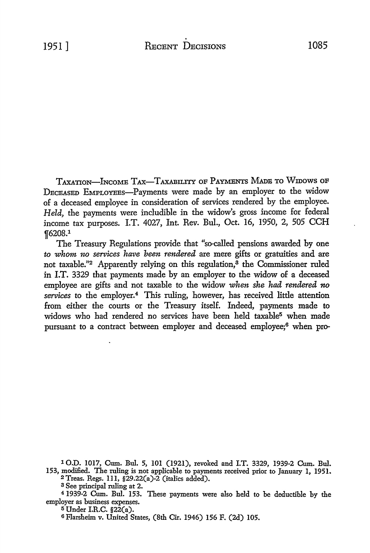TAXATION-INCOME TAX-TAXABILITY OF PAYMENTS MADE TO WIDOWS OF DECEASED EMPLOYEBs-Payments were made by an employer *to* the widow of a deceased employee in consideration of services rendered by the employee. *Held,* the payments were includible in the widow's gross income for federal income tax purposes. I.T. 4027, Int. Rev. Bul., Oct. 16, 1950, 2, 505 CCH f6208.1

The Treasury Regulations provide that "so-called pensions awarded by one *to whom no services have been rendered* are mere gifts or gratuities and are not taxable."<sup>2</sup> Apparently relying on this regulation, $3$  the Commissioner ruled in I.T. 3329 that payments made by an employer to the widow of a deceased employee are gifts and not taxable to the widow *when she had rendered no*  services to the employer.<sup>4</sup> This ruling, however, has received little attention from either the courts or the Treasury itself. Indeed, payments made to widows who had rendered no services have been held taxable<sup>5</sup> when made pursuant to a contract between employer and deceased employee;6 when pro-

**<sup>1</sup> 0.D. 1017, Cum. Bul. 5, 101 (1921), revoked and I.T. 3329, 1939-2 Cum. Bul. 153, modified. The ruling** is not **applicable** to payments received prior to January **1,** 1951. <sup>2</sup>**Treas. Regs.** ll 1, §29.22(a)-2 (italics added).

**a See principal ruling at 2.** 

<sup>4</sup>**1939-2 Cum. Bul. 153. These payments were also held to be deducb'ble by the**  employer as business expenses.

<sup>5</sup>Under **I.R.C. §22(a).** 

6 **Flarshcim v. United States, (8th Cir. 1946) 156 F. (2d) 105.**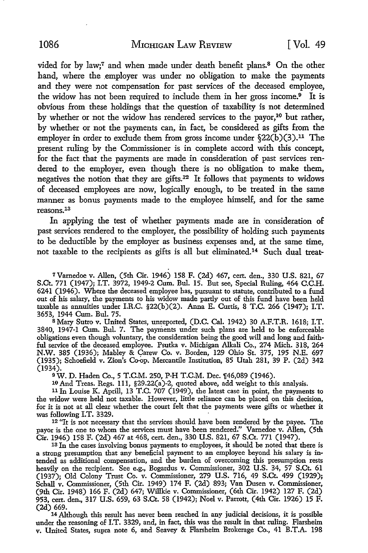vided for by law;<sup>7</sup> and when made under death benefit plans.<sup>8</sup> On the other hand, where the employer was under no obligation to make the payments and they were not compensation for past services of the deceased employee, the widow has not been required to include them in her gross income.9 It is obvious from these holdings that the question of taxability is not determined by whether or not the widow has rendered services to the payor,<sup>10</sup> but rather, by whether or not the payments can, in fact, be considered as gifts from the employer in order to exclude them from gross income under  $(22(b)(3).<sup>11</sup>$  The present ruling by the Commissioner is in complete accord with this concept, for the fact that the payments are made in consideration of past services rendered to the employer, even though there is no obligation to make them, negatives the notion that they are gifts.12 It follows that payments to widows of deceased employees are now, logically enough, to be treated in the same manner as bonus payments made to the employee himself, and for the same reasons.13

In applying the test of whether payments made are in consideration of past services rendered to the employer, the possibility of holding such payments to be deductible by the employer as business expenses and, at the same time, not taxable to the recipients as gifts is all but eliminated.14 Such dual treat-

7Varnedoe v. Allen, (5th Cir. 1946) 158 F. (2d) 467, cert. den., 330 **U.S.** 821, 67 S.Ct. 771 (1947); I.T. 3972, 1949-2 Cum. Bul. 15. But see, Special Ruling, 464 C.C.H. 6241 (1946). Where the deceased employee has, pursuant to statute, contributed to a fund out of his salary, the payments to his widow made partly out of this fund have been held taxable as annuities under I.R.C. §22(b)(2). Anna E. Curtis, 8 T.C. 266 (1947); I.T. 3653, 1944 Cum. Bul. 75.

s Mary Sutro v. United States, unreported, (D.C. Cal. 1942) 30 A.F.T.R. 1618; I.T. 3840, 1947-1 Cum. Bul. 7. The payments under such plans are held to be enforceable obligations even though voluntary, the consideration being the good will and long and faithful service of the deceased employee. Psutka v. Michigan Alkali Co., 274 Mich. 318, 264 N.W. 385 (1936); Mahley & Carew Co. v. Borden, 129 Ohio St. 375, 195 N.E. 697 (1935); Schoefield v. Zion's Co-op. Mercantile Institution, 85 Utah 281, 39 P. (2d) 342 (1934).

<sup>9</sup>W. D. Haden Co., 5 T.C.M. 250, P-H T.C.M. Dec. 1[46,089 (1946).

10 And Treas. Regs. 111, §29.22(a)-2, quoted above, add weight to this analysis.

<sup>11</sup>In Louise K. Aprill, 13 T.C. 707 (1949), the latest case in point, the payments to the widow were held not taxable. However, little reliance can be placed on this decision, for it is not at all clear whether the court felt that the payments were gifts or whether it

12 "It is not necessary that the services should have been rendered by the payee. The payor is the one to whom the services must have been rendered." Varnedoe v. Allen, (5th Cir. 1946) 158 F. (2d) 467 at 468, cert. den., 330 U.S. 821, 67 S.Ct. 771 (1947).

13 ln the cases involving bonus payments to employees, it should be noted that there is a strong presumption that any beneficial payment to an employee beyond his salary is intended as additional compensation, and the burden of overcoming this presumption rests heavily on the recipient. See e.g., Bogardus v. Commissioner, 302 U.S. 34, 57 S.Ct. 61 (1937); Old Colony Trust Co. v. Commissioner, 279 U.S. 716, 49 S.Ct. 499 (1929); Schall v. Commissioner, (5th Cir. 1949) 174 F. (2d) 893; Van Dusen v. Commissioner, (9th Cir. 1948) 166 F. (2d) 647; Willkie v. Commissioner, (6th Cir. 1942) 127 F. (2d) 953, cert. den., 317 U.S. 659, 63 S.Ct. 58 (1942); Noel v. Parrott, (4th Cir. 1926) 15 F. (2d) 669.

<sup>14</sup>Although this result has never been reached in any judicial decisions, it is possible under the reasoning of I.T. 3329, and, in fact, this was the result in that ruling. Flarsheim v. United States, supra note 6, and Seavey & Flarsheim Brokerage Co., 41 B.T.A. 198